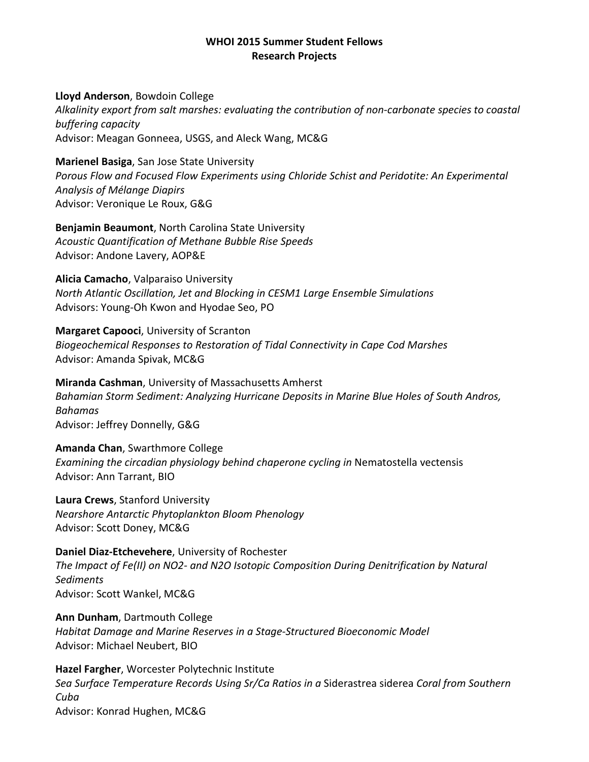# **WHOI 2015 Summer Student Fellows Research Projects**

#### **Lloyd Anderson**, Bowdoin College

*Alkalinity export from salt marshes: evaluating the contribution of non-carbonate species to coastal buffering capacity* Advisor: Meagan Gonneea, USGS, and Aleck Wang, MC&G

### **Marienel Basiga**, San Jose State University

*Porous Flow and Focused Flow Experiments using Chloride Schist and Peridotite: An Experimental Analysis of Mélange Diapirs*  Advisor: Veronique Le Roux, G&G

**Benjamin Beaumont**, North Carolina State University *Acoustic Quantification of Methane Bubble Rise Speeds* Advisor: Andone Lavery, AOP&E

**Alicia Camacho**, Valparaiso University *North Atlantic Oscillation, Jet and Blocking in CESM1 Large Ensemble Simulations* Advisors: Young-Oh Kwon and Hyodae Seo, PO

# **Margaret Capooci**, University of Scranton

*Biogeochemical Responses to Restoration of Tidal Connectivity in Cape Cod Marshes* Advisor: Amanda Spivak, MC&G

**Miranda Cashman**, University of Massachusetts Amherst *Bahamian Storm Sediment: Analyzing Hurricane Deposits in Marine Blue Holes of South Andros, Bahamas* Advisor: Jeffrey Donnelly, G&G

**Amanda Chan**, Swarthmore College *Examining the circadian physiology behind chaperone cycling in* Nematostella vectensis Advisor: Ann Tarrant, BIO

**Laura Crews**, Stanford University *Nearshore Antarctic Phytoplankton Bloom Phenology* Advisor: Scott Doney, MC&G

**Daniel Diaz-Etchevehere**, University of Rochester *The Impact of Fe(II) on NO2- and N2O Isotopic Composition During Denitrification by Natural Sediments* Advisor: Scott Wankel, MC&G

**Ann Dunham**, Dartmouth College *Habitat Damage and Marine Reserves in a Stage-Structured Bioeconomic Model* Advisor: Michael Neubert, BIO

**Hazel Fargher**, Worcester Polytechnic Institute *Sea Surface Temperature Records Using Sr/Ca Ratios in a* Siderastrea siderea *Coral from Southern Cuba* Advisor: Konrad Hughen, MC&G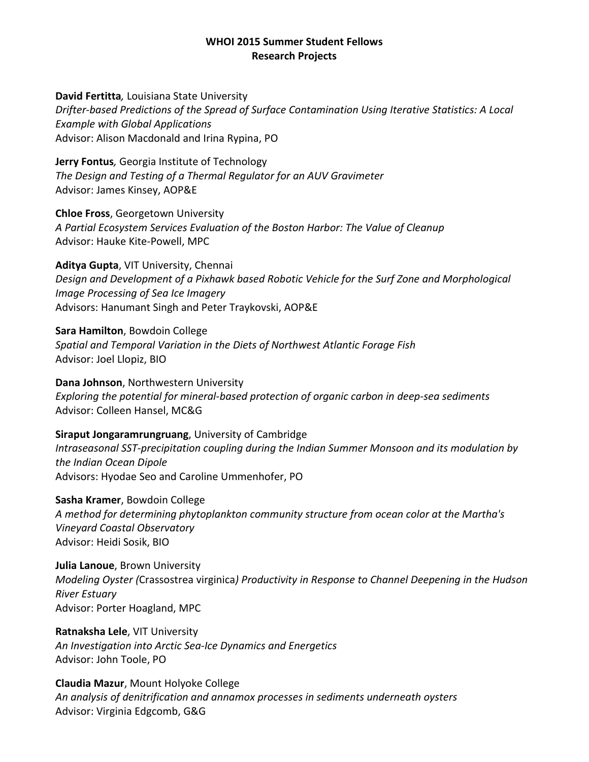# **WHOI 2015 Summer Student Fellows Research Projects**

**David Fertitta***,* Louisiana State University *Drifter-based Predictions of the Spread of Surface Contamination Using Iterative Statistics: A Local Example with Global Applications* Advisor: Alison Macdonald and Irina Rypina, PO

**Jerry Fontus***,* Georgia Institute of Technology *The Design and Testing of a Thermal Regulator for an AUV Gravimeter* Advisor: James Kinsey, AOP&E

**Chloe Fross**, Georgetown University *A Partial Ecosystem Services Evaluation of the Boston Harbor: The Value of Cleanup* Advisor: Hauke Kite-Powell, MPC

**Aditya Gupta**, VIT University, Chennai *Design and Development of a Pixhawk based Robotic Vehicle for the Surf Zone and Morphological Image Processing of Sea Ice Imagery* Advisors: Hanumant Singh and Peter Traykovski, AOP&E

**Sara Hamilton**, Bowdoin College *Spatial and Temporal Variation in the Diets of Northwest Atlantic Forage Fish* Advisor: Joel Llopiz, BIO

**Dana Johnson**, Northwestern University *Exploring the potential for mineral-based protection of organic carbon in deep-sea sediments* Advisor: Colleen Hansel, MC&G

**Siraput Jongaramrungruang**, University of Cambridge *Intraseasonal SST-precipitation coupling during the Indian Summer Monsoon and its modulation by the Indian Ocean Dipole* Advisors: Hyodae Seo and Caroline Ummenhofer, PO

**Sasha Kramer**, Bowdoin College *A method for determining phytoplankton community structure from ocean color at the Martha's Vineyard Coastal Observatory* Advisor: Heidi Sosik, BIO

**Julia Lanoue**, Brown University *Modeling Oyster (*Crassostrea virginica*) Productivity in Response to Channel Deepening in the Hudson River Estuary* Advisor: Porter Hoagland, MPC

**Ratnaksha Lele**, VIT University *An Investigation into Arctic Sea-Ice Dynamics and Energetics* Advisor: John Toole, PO

**Claudia Mazur**, Mount Holyoke College *An analysis of denitrification and annamox processes in sediments underneath oysters* Advisor: Virginia Edgcomb, G&G